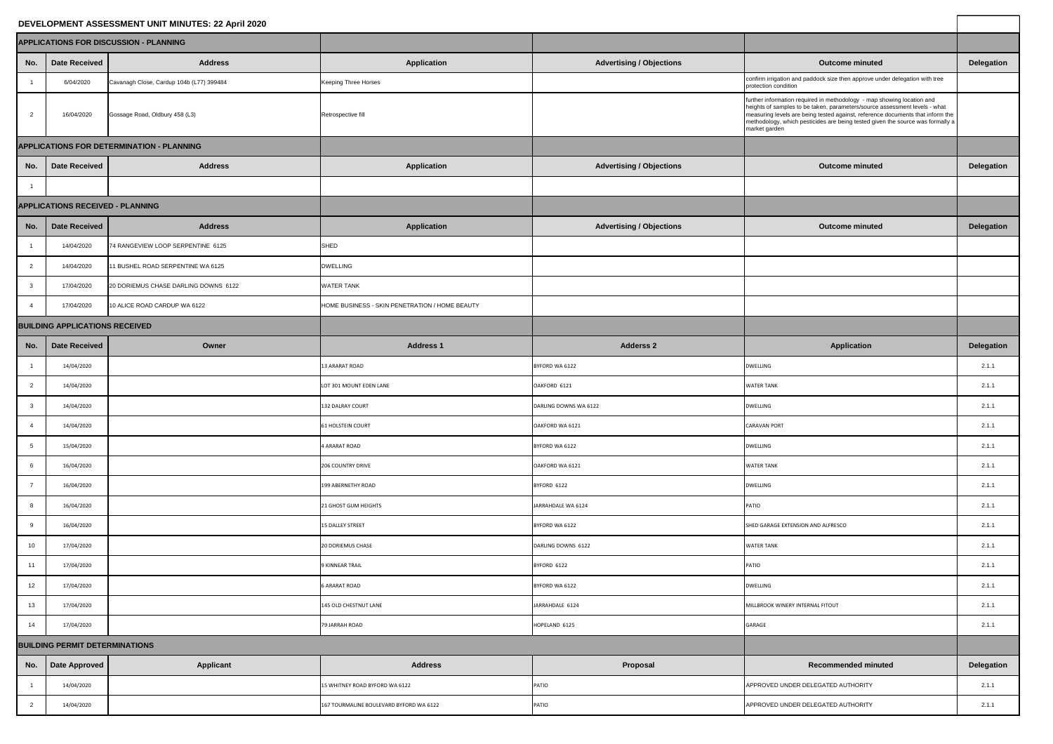## **DEVELOPMENT ASSESSMENT UNIT MINUTES: 22 April 2020**

 $\overline{\phantom{a}}$ 

|                 |                                        | EVELOPMENT ASSESSMENT UNIT MINUTES: 22 April 2020 |                                                |                                 |                                                                                                                                                                                                                                                                                                                                           |                   |
|-----------------|----------------------------------------|---------------------------------------------------|------------------------------------------------|---------------------------------|-------------------------------------------------------------------------------------------------------------------------------------------------------------------------------------------------------------------------------------------------------------------------------------------------------------------------------------------|-------------------|
|                 |                                        | <b>PPLICATIONS FOR DISCUSSION - PLANNING</b>      |                                                |                                 |                                                                                                                                                                                                                                                                                                                                           |                   |
| No.             | <b>Date Received</b>                   | <b>Address</b>                                    | <b>Application</b>                             | <b>Advertising / Objections</b> | <b>Outcome minuted</b>                                                                                                                                                                                                                                                                                                                    | <b>Delegation</b> |
|                 | 6/04/2020                              | Cavanagh Close, Cardup 104b (L77) 399484          | Keeping Three Horses                           |                                 | confirm irrigation and paddock size then approve under delegation with tree<br>protection condition                                                                                                                                                                                                                                       |                   |
| $\overline{2}$  | 16/04/2020                             | Gossage Road, Oldbury 458 (L3)                    | Retrospective fill                             |                                 | further information required in methodology - map showing location and<br>heights of samples to be taken, parameters/source assessment levels - what<br>measuring levels are being tested against, reference documents that inform the<br>methodology, which pesticides are being tested given the source was formally a<br>market garden |                   |
|                 |                                        | PPLICATIONS FOR DETERMINATION - PLANNING          |                                                |                                 |                                                                                                                                                                                                                                                                                                                                           |                   |
| No.             | Date Received                          | <b>Address</b>                                    | <b>Application</b>                             | <b>Advertising / Objections</b> | <b>Outcome minuted</b>                                                                                                                                                                                                                                                                                                                    | <b>Delegation</b> |
|                 |                                        |                                                   |                                                |                                 |                                                                                                                                                                                                                                                                                                                                           |                   |
|                 | <b>PPLICATIONS RECEIVED - PLANNING</b> |                                                   |                                                |                                 |                                                                                                                                                                                                                                                                                                                                           |                   |
| No.             | Date Received                          | <b>Address</b>                                    | <b>Application</b>                             | <b>Advertising / Objections</b> | <b>Outcome minuted</b>                                                                                                                                                                                                                                                                                                                    | <b>Delegation</b> |
|                 | 14/04/2020                             | 74 RANGEVIEW LOOP SERPENTINE 6125                 | <b>SHED</b>                                    |                                 |                                                                                                                                                                                                                                                                                                                                           |                   |
| $2^{\circ}$     | 14/04/2020                             | 11 BUSHEL ROAD SERPENTINE WA 6125                 | <b>DWELLING</b>                                |                                 |                                                                                                                                                                                                                                                                                                                                           |                   |
| 3 <sup>1</sup>  | 17/04/2020                             | 20 DORIEMUS CHASE DARLING DOWNS 6122              | <b>WATER TANK</b>                              |                                 |                                                                                                                                                                                                                                                                                                                                           |                   |
| $\overline{4}$  | 17/04/2020                             | 10 ALICE ROAD CARDUP WA 6122                      | HOME BUSINESS - SKIN PENETRATION / HOME BEAUTY |                                 |                                                                                                                                                                                                                                                                                                                                           |                   |
|                 | <b>JILDING APPLICATIONS RECEIVED</b>   |                                                   |                                                |                                 |                                                                                                                                                                                                                                                                                                                                           |                   |
| No.             | Date Received                          | Owner                                             | <b>Address 1</b>                               | <b>Adderss 2</b>                | <b>Application</b>                                                                                                                                                                                                                                                                                                                        | <b>Delegation</b> |
| $\overline{1}$  | 14/04/2020                             |                                                   | <b>13 ARARAT ROAD</b>                          | BYFORD WA 6122                  | <b>DWELLING</b>                                                                                                                                                                                                                                                                                                                           | 2.1.1             |
| $\overline{2}$  | 14/04/2020                             |                                                   | LOT 301 MOUNT EDEN LANE                        | OAKFORD 6121                    | <b>WATER TANK</b>                                                                                                                                                                                                                                                                                                                         | 2.1.1             |
| 3 <sup>1</sup>  | 14/04/2020                             |                                                   | 132 DALRAY COURT                               | DARLING DOWNS WA 6122           | <b>DWELLING</b>                                                                                                                                                                                                                                                                                                                           | 2.1.1             |
| $\overline{4}$  | 14/04/2020                             |                                                   | <b>61 HOLSTEIN COURT</b>                       | OAKFORD WA 6121                 | <b>CARAVAN PORT</b>                                                                                                                                                                                                                                                                                                                       | 2.1.1             |
| 5 <sub>5</sub>  | 15/04/2020                             |                                                   | 4 ARARAT ROAD                                  | BYFORD WA 6122                  | <b>DWELLING</b>                                                                                                                                                                                                                                                                                                                           | 2.1.1             |
| $6\overline{6}$ | 16/04/2020                             |                                                   | <b>206 COUNTRY DRIVE</b>                       | OAKFORD WA 6121                 | <b>WATER TANK</b>                                                                                                                                                                                                                                                                                                                         | 2.1.1             |
| $\overline{7}$  | 16/04/2020                             |                                                   | 199 ABERNETHY ROAD                             | BYFORD 6122                     | <b>DWELLING</b>                                                                                                                                                                                                                                                                                                                           | 2.1.1             |
| 8               | 16/04/2020                             |                                                   | 21 GHOST GUM HEIGHTS                           | JARRAHDALE WA 6124              | <b>PATIO</b>                                                                                                                                                                                                                                                                                                                              | 2.1.1             |
| 9               | 16/04/2020                             |                                                   | 15 DALLEY STREET                               | BYFORD WA 6122                  | SHED GARAGE EXTENSION AND ALFRESCO                                                                                                                                                                                                                                                                                                        | 2.1.1             |
| 10              | 17/04/2020                             |                                                   | 20 DORIEMUS CHASE                              | DARLING DOWNS 6122              | <b>WATER TANK</b>                                                                                                                                                                                                                                                                                                                         | 2.1.1             |
| 11              | 17/04/2020                             |                                                   | 9 KINNEAR TRAIL                                | BYFORD 6122                     | <b>PATIO</b>                                                                                                                                                                                                                                                                                                                              | 2.1.1             |
| 12              | 17/04/2020                             |                                                   | <b>6 ARARAT ROAD</b>                           | BYFORD WA 6122                  | <b>DWELLING</b>                                                                                                                                                                                                                                                                                                                           | 2.1.1             |
| 13              | 17/04/2020                             |                                                   | <b>145 OLD CHESTNUT LANE</b>                   | JARRAHDALE 6124                 | MILLBROOK WINERY INTERNAL FITOUT                                                                                                                                                                                                                                                                                                          | 2.1.1             |
| 14              | 17/04/2020                             |                                                   | <b>79 JARRAH ROAD</b>                          | HOPELAND 6125                   | <b>GARAGE</b>                                                                                                                                                                                                                                                                                                                             | 2.1.1             |
|                 | <b>JILDING PERMIT DETERMINATIONS</b>   |                                                   |                                                |                                 |                                                                                                                                                                                                                                                                                                                                           |                   |
| No.             | Date Approved                          | <b>Applicant</b>                                  | <b>Address</b>                                 | Proposal                        | <b>Recommended minuted</b>                                                                                                                                                                                                                                                                                                                | <b>Delegation</b> |
| $\overline{1}$  | 14/04/2020                             |                                                   | 15 WHITNEY ROAD BYFORD WA 6122                 | PATIO                           | APPROVED UNDER DELEGATED AUTHORITY                                                                                                                                                                                                                                                                                                        | 2.1.1             |
| $2^{\circ}$     | 14/04/2020                             |                                                   | 167 TOURMALINE BOULEVARD BYFORD WA 6122        | PATIO                           | APPROVED UNDER DELEGATED AUTHORITY                                                                                                                                                                                                                                                                                                        | 2.1.1             |
|                 |                                        |                                                   |                                                |                                 |                                                                                                                                                                                                                                                                                                                                           |                   |

| <b>Delegation</b> |  |  |  |  |
|-------------------|--|--|--|--|
|                   |  |  |  |  |
|                   |  |  |  |  |
|                   |  |  |  |  |
|                   |  |  |  |  |
| <b>Delegation</b> |  |  |  |  |
|                   |  |  |  |  |
|                   |  |  |  |  |
| <b>Delegation</b> |  |  |  |  |
|                   |  |  |  |  |
|                   |  |  |  |  |
|                   |  |  |  |  |
|                   |  |  |  |  |
|                   |  |  |  |  |
| <b>Delegation</b> |  |  |  |  |
| 2.1.1             |  |  |  |  |
| 2.1.1             |  |  |  |  |
| 2.1.1             |  |  |  |  |
| 2.1.1             |  |  |  |  |
| 2.1.1             |  |  |  |  |
| 2.1.1             |  |  |  |  |
| 2.1.1             |  |  |  |  |
| 2.1.1             |  |  |  |  |
| 2.1.1<br>2.1.1    |  |  |  |  |
| 2.1.1             |  |  |  |  |
| 2.1.1             |  |  |  |  |
| 2.1.1             |  |  |  |  |
| 2.1.1             |  |  |  |  |
|                   |  |  |  |  |
| <b>Delegation</b> |  |  |  |  |
| 2.1.1             |  |  |  |  |
| 2.1.1             |  |  |  |  |
|                   |  |  |  |  |

|                 |                                         | <b>APPLICATIONS FOR DISCUSSION - PLANNING</b> |                                                |  |  |  |
|-----------------|-----------------------------------------|-----------------------------------------------|------------------------------------------------|--|--|--|
| No.             | <b>Date Received</b>                    | <b>Address</b>                                | <b>Application</b>                             |  |  |  |
| $\mathbf{1}$    | 6/04/2020                               | Cavanagh Close, Cardup 104b (L77) 399484      | Keeping Three Horses                           |  |  |  |
| $\overline{2}$  | 16/04/2020                              | Gossage Road, Oldbury 458 (L3)                | Retrospective fill                             |  |  |  |
|                 |                                         | APPLICATIONS FOR DETERMINATION - PLANNING     |                                                |  |  |  |
| No.             | <b>Date Received</b>                    | <b>Address</b>                                | <b>Application</b>                             |  |  |  |
| $\mathbf{1}$    |                                         |                                               |                                                |  |  |  |
|                 | <b>APPLICATIONS RECEIVED - PLANNING</b> |                                               |                                                |  |  |  |
| No.             | <b>Date Received</b>                    | <b>Address</b>                                | <b>Application</b>                             |  |  |  |
| $\mathbf{1}$    | 14/04/2020                              | 74 RANGEVIEW LOOP SERPENTINE 6125             | <b>SHED</b>                                    |  |  |  |
| $\overline{2}$  | 14/04/2020                              | 11 BUSHEL ROAD SERPENTINE WA 6125             | <b>DWELLING</b>                                |  |  |  |
| 3               | 17/04/2020                              | 20 DORIEMUS CHASE DARLING DOWNS 6122          | <b>WATER TANK</b>                              |  |  |  |
| $\overline{4}$  | 17/04/2020                              | 10 ALICE ROAD CARDUP WA 6122                  | HOME BUSINESS - SKIN PENETRATION / HOME BEAUTY |  |  |  |
|                 | <b>BUILDING APPLICATIONS RECEIVED</b>   |                                               |                                                |  |  |  |
| No.             | <b>Date Received</b>                    | Owner                                         | <b>Address 1</b>                               |  |  |  |
| $\mathbf{1}$    | 14/04/2020                              |                                               | <b>13 ARARAT ROAD</b>                          |  |  |  |
| $\overline{2}$  | 14/04/2020                              |                                               | LOT 301 MOUNT EDEN LANE                        |  |  |  |
| $\mathbf{3}$    | 14/04/2020                              |                                               | 132 DALRAY COURT                               |  |  |  |
| 4               | 14/04/2020                              |                                               | <b>61 HOLSTEIN COURT</b>                       |  |  |  |
| $5\phantom{.0}$ | 15/04/2020                              |                                               | <b>4 ARARAT ROAD</b>                           |  |  |  |
| 6               | 16/04/2020                              |                                               | <b>206 COUNTRY DRIVE</b>                       |  |  |  |
| $\overline{7}$  | 16/04/2020                              |                                               | <b>199 ABERNETHY ROAD</b>                      |  |  |  |
| 8               | 16/04/2020                              |                                               | 21 GHOST GUM HEIGHTS                           |  |  |  |
| 9               | 16/04/2020                              |                                               | <b>15 DALLEY STREET</b>                        |  |  |  |
| 10              | 17/04/2020                              |                                               | <b>20 DORIEMUS CHASE</b>                       |  |  |  |
| 11              | 17/04/2020                              |                                               | <b>9 KINNEAR TRAIL</b>                         |  |  |  |
| 12              | 17/04/2020                              |                                               | <b>6 ARARAT ROAD</b>                           |  |  |  |
| 13              | 17/04/2020                              |                                               | 145 OLD CHESTNUT LANE                          |  |  |  |
| 14              | 17/04/2020                              |                                               | <b>79 JARRAH ROAD</b>                          |  |  |  |
|                 | <b>BUILDING PERMIT DETERMINATIONS</b>   |                                               |                                                |  |  |  |
| No.             | <b>Date Approved</b>                    | <b>Applicant</b>                              | <b>Address</b>                                 |  |  |  |
| $\mathbf{1}$    | 14/04/2020                              |                                               | 15 WHITNEY ROAD BYFORD WA 6122                 |  |  |  |
| $\overline{c}$  | 14/04/2020                              |                                               | 167 TOURMALINE BOULEVARD BYFORD WA 6122        |  |  |  |